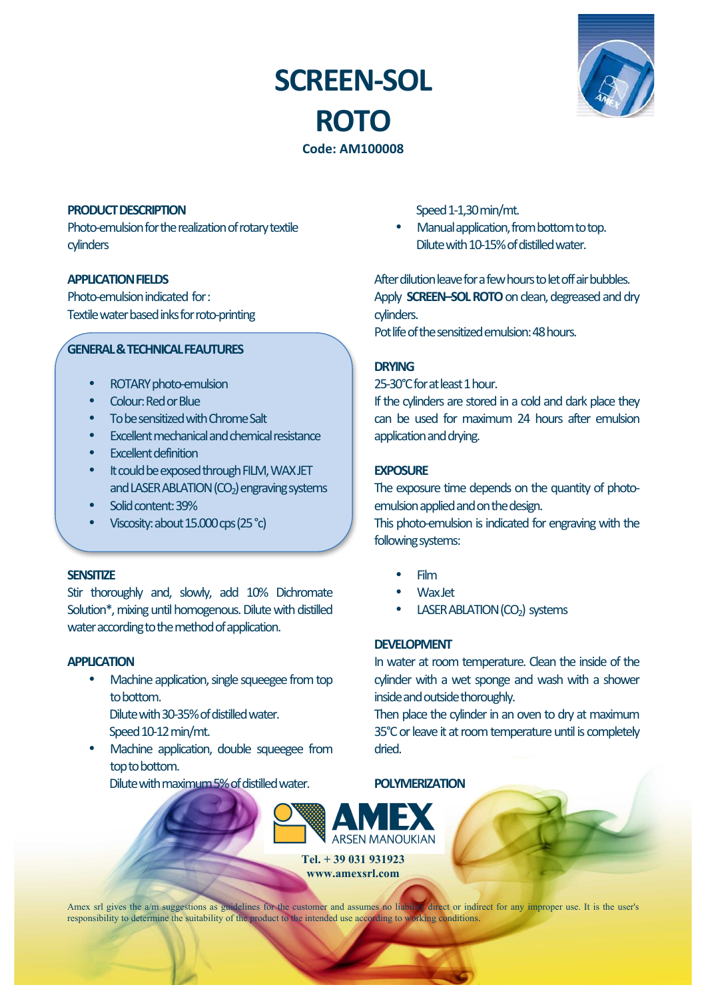# **SCREEN-SOL ROTO**



**Code:)AM100008**

### **PRODUCT DESCRIPTION**

Photo-emulsion for the realization of rotary textile cylinders

# **APPLICATION)FIELDS**

Photo-emulsion-indicated-for-Textile water based inks for roto-printing

#### **GENERAL & TECHNICAL FEAUTURES**

- ROTARY photo-emulsion
- Colour:-Red-or-Blue
- To be sensitized with Chrome Salt
- Excellent-mechanical-and-chemical-resistance
- **Fxcellent definition**
- It could be exposed through FILM, WAXJET and LASER ABLATION (CO<sub>2</sub>) engraving systems
- Solid content: 39%
- Viscosity: about  $15.000$  cps (25 $^{\circ}$ c)

#### **SENSITIZE**

Stir thoroughly and, slowly, add 10% Dichromate Solution\*, mixing until homogenous. Dilute with distilled water according to the method of application.

# **APPLICATION**

Machine application, single squeegee from topto-bottom. Dilute with 30-35% of distilled water.

Speed 10-12 min/mt.

Machine application, double squeegee from top to bottom.

Dilute with maximum 5% of distilled water.

Speed 1-1,30 min/mt.

Manual application, from bottom to top. Dilute with 10-15% of distilled water

After dilution leave for a few hours to let off air bubbles. Apply **SCREEN-SOL ROTO** on clean, degreased and drycylinders.

Pot-life of the sensitized emulsion: 48 hours.

# **DRYING**

25-30°C for at least 1 hour.

If the cylinders are stored in a cold and dark place they can- be- used for- maximum- 24- hours- after- emulsionapplication and drving.

# **EXPOSURE**

The exposure time depends on the quantity of photoemulsion applied and on the design.

This photo-emulsion is indicated for engraving with the following systems:

- Film
- Wax-Jet
- LASER ABLATION (CO<sub>2</sub>) systems

# **DEVELOPMENT**

In water at room temperature. Clean the inside of the cylinder-with a wet sponge and wash with a showerinside and outside thoroughly.

Then-place-the-cylinder-in-an-oven-to-dry-at-maximum-35°C or leave it at room temperature until is completely dried.

**POLYMERIZATION**



**Tel. + 39 031 931923 www.amexsrl.com**

Amex srl gives the a/m suggestions as guidelines for the customer and assumes no liability direct or indirect for any improper use. It is the user's responsibility to determine the suitability of the product to the intended use according to working conditions.